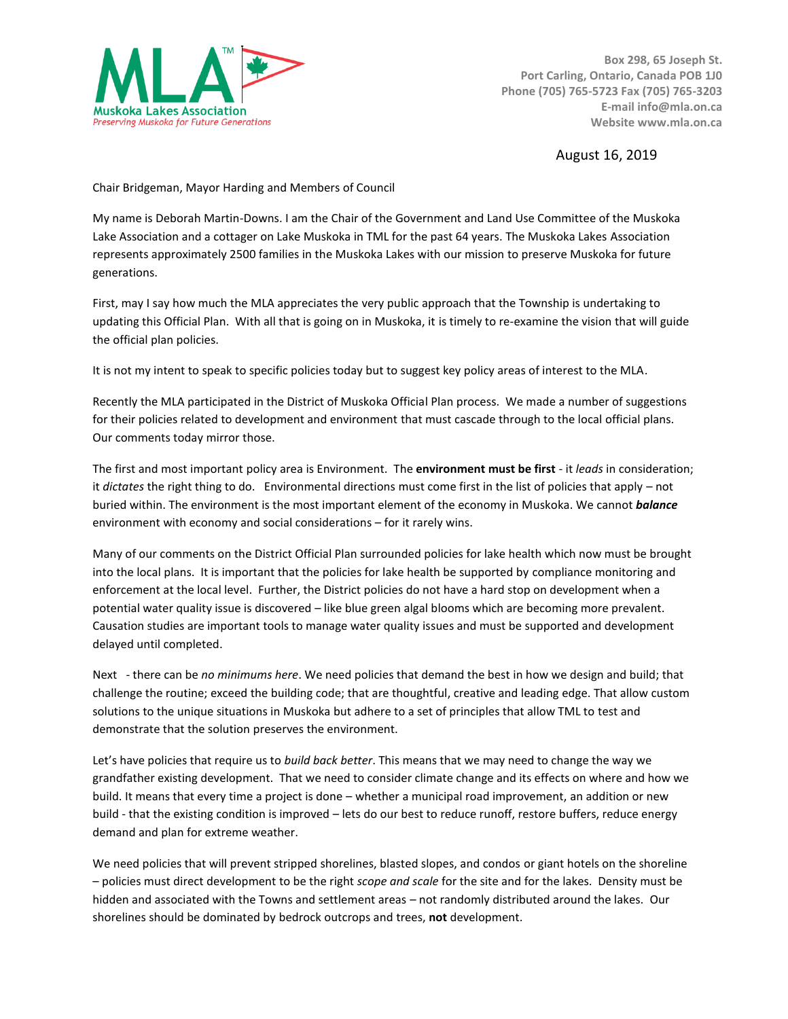

**Box 298, 65 Joseph St. Port Carling, Ontario, Canada POB 1J0 Phone (705) 765-5723 Fax (705) 765-3203 E-mail info@mla.on.ca Website www.mla.on.ca**

August 16, 2019

Chair Bridgeman, Mayor Harding and Members of Council

My name is Deborah Martin-Downs. I am the Chair of the Government and Land Use Committee of the Muskoka Lake Association and a cottager on Lake Muskoka in TML for the past 64 years. The Muskoka Lakes Association represents approximately 2500 families in the Muskoka Lakes with our mission to preserve Muskoka for future generations.

First, may I say how much the MLA appreciates the very public approach that the Township is undertaking to updating this Official Plan. With all that is going on in Muskoka, it is timely to re-examine the vision that will guide the official plan policies.

It is not my intent to speak to specific policies today but to suggest key policy areas of interest to the MLA.

Recently the MLA participated in the District of Muskoka Official Plan process. We made a number of suggestions for their policies related to development and environment that must cascade through to the local official plans. Our comments today mirror those.

The first and most important policy area is Environment. The **environment must be first** - it *leads* in consideration; it *dictates* the right thing to do. Environmental directions must come first in the list of policies that apply – not buried within. The environment is the most important element of the economy in Muskoka. We cannot *balance*  environment with economy and social considerations – for it rarely wins.

Many of our comments on the District Official Plan surrounded policies for lake health which now must be brought into the local plans. It is important that the policies for lake health be supported by compliance monitoring and enforcement at the local level. Further, the District policies do not have a hard stop on development when a potential water quality issue is discovered – like blue green algal blooms which are becoming more prevalent. Causation studies are important tools to manage water quality issues and must be supported and development delayed until completed.

Next - there can be *no minimums here*. We need policies that demand the best in how we design and build; that challenge the routine; exceed the building code; that are thoughtful, creative and leading edge. That allow custom solutions to the unique situations in Muskoka but adhere to a set of principles that allow TML to test and demonstrate that the solution preserves the environment.

Let's have policies that require us to *build back better*. This means that we may need to change the way we grandfather existing development. That we need to consider climate change and its effects on where and how we build. It means that every time a project is done – whether a municipal road improvement, an addition or new build - that the existing condition is improved – lets do our best to reduce runoff, restore buffers, reduce energy demand and plan for extreme weather.

We need policies that will prevent stripped shorelines, blasted slopes, and condos or giant hotels on the shoreline – policies must direct development to be the right *scope and scale* for the site and for the lakes. Density must be hidden and associated with the Towns and settlement areas – not randomly distributed around the lakes. Our shorelines should be dominated by bedrock outcrops and trees, **not** development.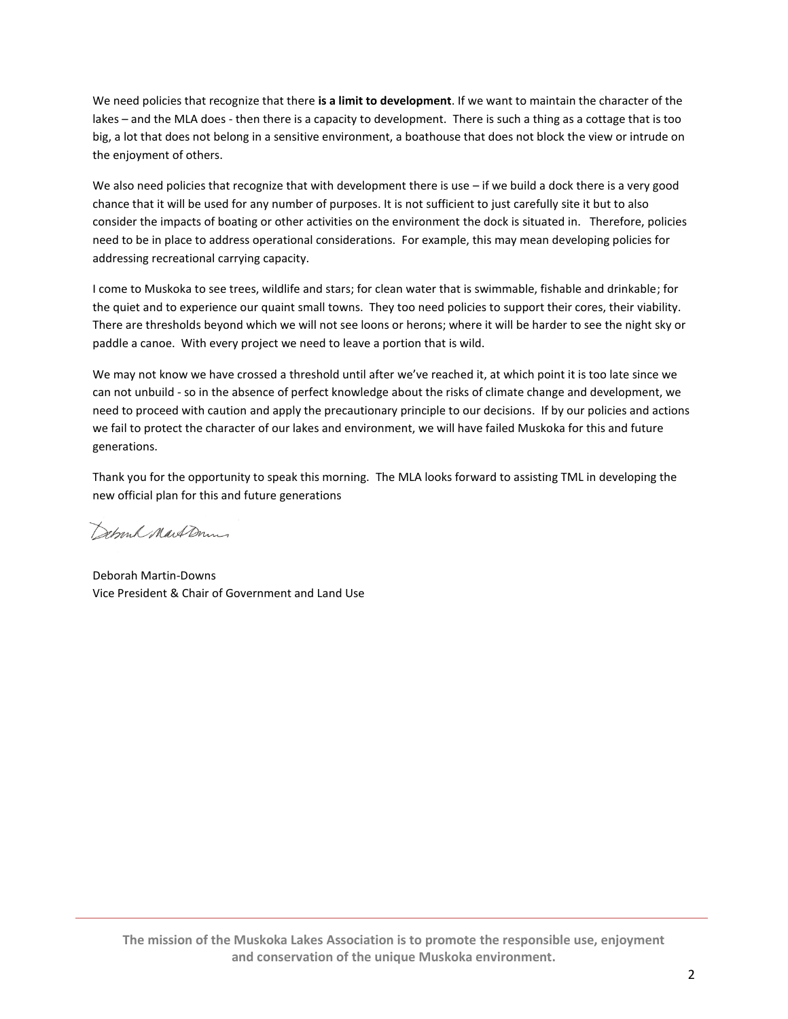We need policies that recognize that there **is a limit to development**. If we want to maintain the character of the lakes – and the MLA does - then there is a capacity to development. There is such a thing as a cottage that is too big, a lot that does not belong in a sensitive environment, a boathouse that does not block the view or intrude on the enjoyment of others.

We also need policies that recognize that with development there is use  $-$  if we build a dock there is a very good chance that it will be used for any number of purposes. It is not sufficient to just carefully site it but to also consider the impacts of boating or other activities on the environment the dock is situated in. Therefore, policies need to be in place to address operational considerations. For example, this may mean developing policies for addressing recreational carrying capacity.

I come to Muskoka to see trees, wildlife and stars; for clean water that is swimmable, fishable and drinkable; for the quiet and to experience our quaint small towns. They too need policies to support their cores, their viability. There are thresholds beyond which we will not see loons or herons; where it will be harder to see the night sky or paddle a canoe. With every project we need to leave a portion that is wild.

We may not know we have crossed a threshold until after we've reached it, at which point it is too late since we can not unbuild - so in the absence of perfect knowledge about the risks of climate change and development, we need to proceed with caution and apply the precautionary principle to our decisions. If by our policies and actions we fail to protect the character of our lakes and environment, we will have failed Muskoka for this and future generations.

Thank you for the opportunity to speak this morning. The MLA looks forward to assisting TML in developing the new official plan for this and future generations

Schmk MartDum

Deborah Martin-Downs Vice President & Chair of Government and Land Use